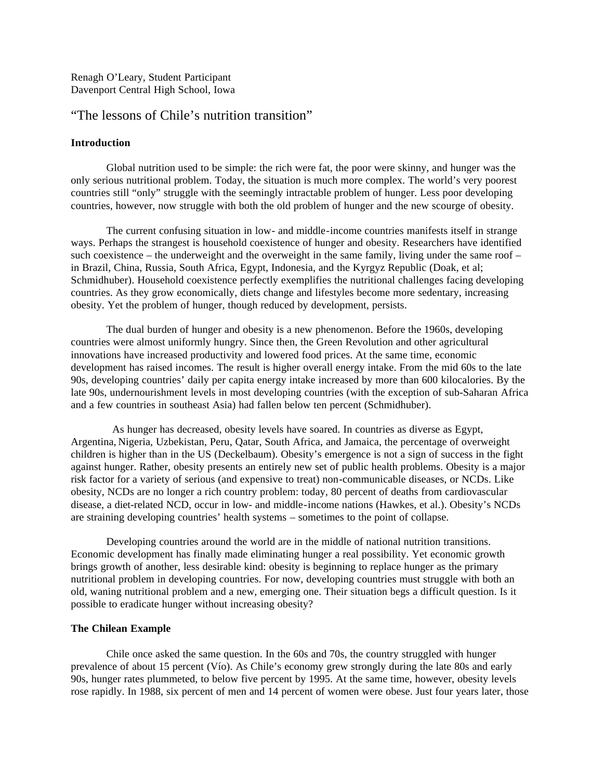Renagh O'Leary, Student Participant Davenport Central High School, Iowa

# "The lessons of Chile's nutrition transition"

#### **Introduction**

Global nutrition used to be simple: the rich were fat, the poor were skinny, and hunger was the only serious nutritional problem. Today, the situation is much more complex. The world's very poorest countries still "only" struggle with the seemingly intractable problem of hunger. Less poor developing countries, however, now struggle with both the old problem of hunger and the new scourge of obesity.

The current confusing situation in low- and middle-income countries manifests itself in strange ways. Perhaps the strangest is household coexistence of hunger and obesity. Researchers have identified such coexistence – the underweight and the overweight in the same family, living under the same roof – in Brazil, China, Russia, South Africa, Egypt, Indonesia, and the Kyrgyz Republic (Doak, et al; Schmidhuber). Household coexistence perfectly exemplifies the nutritional challenges facing developing countries. As they grow economically, diets change and lifestyles become more sedentary, increasing obesity. Yet the problem of hunger, though reduced by development, persists.

The dual burden of hunger and obesity is a new phenomenon. Before the 1960s, developing countries were almost uniformly hungry. Since then, the Green Revolution and other agricultural innovations have increased productivity and lowered food prices. At the same time, economic development has raised incomes. The result is higher overall energy intake. From the mid 60s to the late 90s, developing countries' daily per capita energy intake increased by more than 600 kilocalories. By the late 90s, undernourishment levels in most developing countries (with the exception of sub-Saharan Africa and a few countries in southeast Asia) had fallen below ten percent (Schmidhuber).

 As hunger has decreased, obesity levels have soared. In countries as diverse as Egypt, Argentina, Nigeria, Uzbekistan, Peru, Qatar, South Africa, and Jamaica, the percentage of overweight children is higher than in the US (Deckelbaum). Obesity's emergence is not a sign of success in the fight against hunger. Rather, obesity presents an entirely new set of public health problems. Obesity is a major risk factor for a variety of serious (and expensive to treat) non-communicable diseases, or NCDs. Like obesity, NCDs are no longer a rich country problem: today, 80 percent of deaths from cardiovascular disease, a diet-related NCD, occur in low- and middle-income nations (Hawkes, et al.). Obesity's NCDs are straining developing countries' health systems – sometimes to the point of collapse.

Developing countries around the world are in the middle of national nutrition transitions. Economic development has finally made eliminating hunger a real possibility. Yet economic growth brings growth of another, less desirable kind: obesity is beginning to replace hunger as the primary nutritional problem in developing countries. For now, developing countries must struggle with both an old, waning nutritional problem and a new, emerging one. Their situation begs a difficult question. Is it possible to eradicate hunger without increasing obesity?

# **The Chilean Example**

Chile once asked the same question. In the 60s and 70s, the country struggled with hunger prevalence of about 15 percent (Vío). As Chile's economy grew strongly during the late 80s and early 90s, hunger rates plummeted, to below five percent by 1995. At the same time, however, obesity levels rose rapidly. In 1988, six percent of men and 14 percent of women were obese. Just four years later, those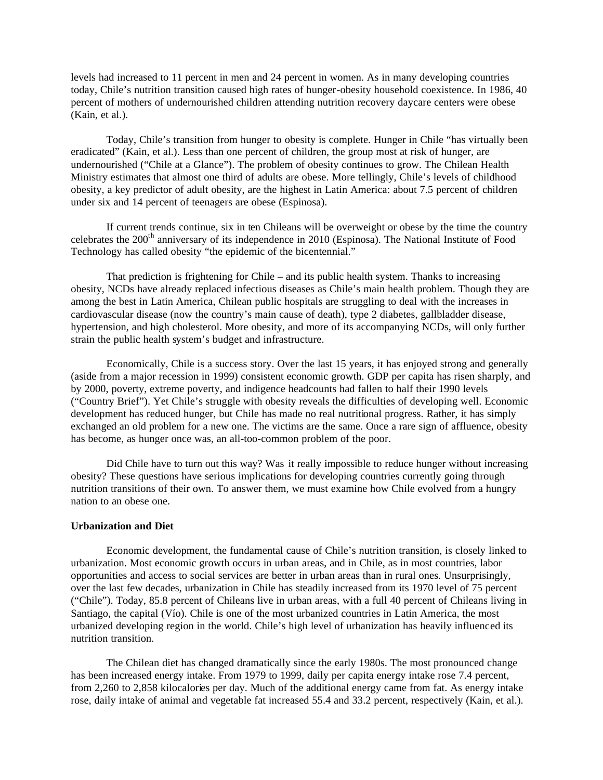levels had increased to 11 percent in men and 24 percent in women. As in many developing countries today, Chile's nutrition transition caused high rates of hunger-obesity household coexistence. In 1986, 40 percent of mothers of undernourished children attending nutrition recovery daycare centers were obese (Kain, et al.).

Today, Chile's transition from hunger to obesity is complete. Hunger in Chile "has virtually been eradicated" (Kain, et al.). Less than one percent of children, the group most at risk of hunger, are undernourished ("Chile at a Glance"). The problem of obesity continues to grow. The Chilean Health Ministry estimates that almost one third of adults are obese. More tellingly, Chile's levels of childhood obesity, a key predictor of adult obesity, are the highest in Latin America: about 7.5 percent of children under six and 14 percent of teenagers are obese (Espinosa).

If current trends continue, six in ten Chileans will be overweight or obese by the time the country celebrates the 200<sup>th</sup> anniversary of its independence in 2010 (Espinosa). The National Institute of Food Technology has called obesity "the epidemic of the bicentennial."

That prediction is frightening for Chile – and its public health system. Thanks to increasing obesity, NCDs have already replaced infectious diseases as Chile's main health problem. Though they are among the best in Latin America, Chilean public hospitals are struggling to deal with the increases in cardiovascular disease (now the country's main cause of death), type 2 diabetes, gallbladder disease, hypertension, and high cholesterol. More obesity, and more of its accompanying NCDs, will only further strain the public health system's budget and infrastructure.

Economically, Chile is a success story. Over the last 15 years, it has enjoyed strong and generally (aside from a major recession in 1999) consistent economic growth. GDP per capita has risen sharply, and by 2000, poverty, extreme poverty, and indigence headcounts had fallen to half their 1990 levels ("Country Brief"). Yet Chile's struggle with obesity reveals the difficulties of developing well. Economic development has reduced hunger, but Chile has made no real nutritional progress. Rather, it has simply exchanged an old problem for a new one. The victims are the same. Once a rare sign of affluence, obesity has become, as hunger once was, an all-too-common problem of the poor.

Did Chile have to turn out this way? Was it really impossible to reduce hunger without increasing obesity? These questions have serious implications for developing countries currently going through nutrition transitions of their own. To answer them, we must examine how Chile evolved from a hungry nation to an obese one.

# **Urbanization and Diet**

Economic development, the fundamental cause of Chile's nutrition transition, is closely linked to urbanization. Most economic growth occurs in urban areas, and in Chile, as in most countries, labor opportunities and access to social services are better in urban areas than in rural ones. Unsurprisingly, over the last few decades, urbanization in Chile has steadily increased from its 1970 level of 75 percent ("Chile"). Today, 85.8 percent of Chileans live in urban areas, with a full 40 percent of Chileans living in Santiago, the capital (Vío). Chile is one of the most urbanized countries in Latin America, the most urbanized developing region in the world. Chile's high level of urbanization has heavily influenced its nutrition transition.

The Chilean diet has changed dramatically since the early 1980s. The most pronounced change has been increased energy intake. From 1979 to 1999, daily per capita energy intake rose 7.4 percent, from 2,260 to 2,858 kilocalories per day. Much of the additional energy came from fat. As energy intake rose, daily intake of animal and vegetable fat increased 55.4 and 33.2 percent, respectively (Kain, et al.).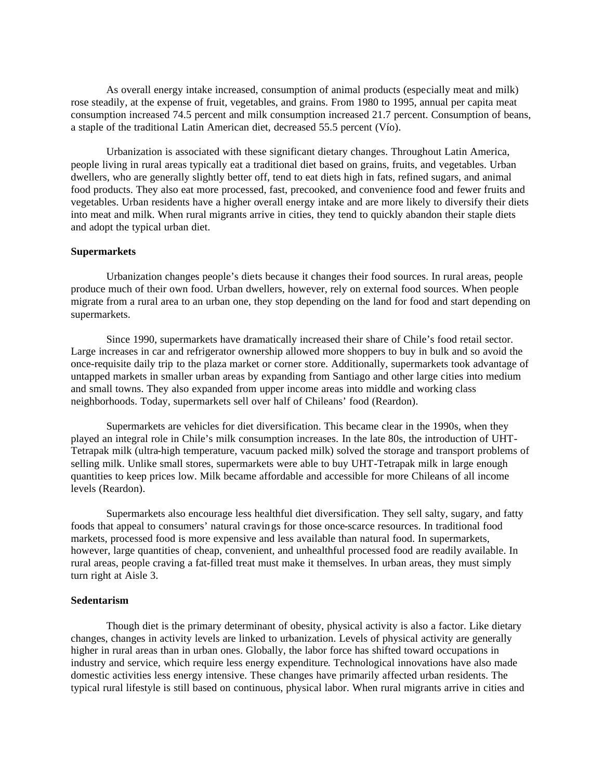As overall energy intake increased, consumption of animal products (especially meat and milk) rose steadily, at the expense of fruit, vegetables, and grains. From 1980 to 1995, annual per capita meat consumption increased 74.5 percent and milk consumption increased 21.7 percent. Consumption of beans, a staple of the traditional Latin American diet, decreased 55.5 percent (Vío).

Urbanization is associated with these significant dietary changes. Throughout Latin America, people living in rural areas typically eat a traditional diet based on grains, fruits, and vegetables. Urban dwellers, who are generally slightly better off, tend to eat diets high in fats, refined sugars, and animal food products. They also eat more processed, fast, precooked, and convenience food and fewer fruits and vegetables. Urban residents have a higher overall energy intake and are more likely to diversify their diets into meat and milk. When rural migrants arrive in cities, they tend to quickly abandon their staple diets and adopt the typical urban diet.

# **Supermarkets**

Urbanization changes people's diets because it changes their food sources. In rural areas, people produce much of their own food. Urban dwellers, however, rely on external food sources. When people migrate from a rural area to an urban one, they stop depending on the land for food and start depending on supermarkets.

Since 1990, supermarkets have dramatically increased their share of Chile's food retail sector. Large increases in car and refrigerator ownership allowed more shoppers to buy in bulk and so avoid the once-requisite daily trip to the plaza market or corner store. Additionally, supermarkets took advantage of untapped markets in smaller urban areas by expanding from Santiago and other large cities into medium and small towns. They also expanded from upper income areas into middle and working class neighborhoods. Today, supermarkets sell over half of Chileans' food (Reardon).

Supermarkets are vehicles for diet diversification. This became clear in the 1990s, when they played an integral role in Chile's milk consumption increases. In the late 80s, the introduction of UHT-Tetrapak milk (ultra-high temperature, vacuum packed milk) solved the storage and transport problems of selling milk. Unlike small stores, supermarkets were able to buy UHT-Tetrapak milk in large enough quantities to keep prices low. Milk became affordable and accessible for more Chileans of all income levels (Reardon).

Supermarkets also encourage less healthful diet diversification. They sell salty, sugary, and fatty foods that appeal to consumers' natural cravings for those once-scarce resources. In traditional food markets, processed food is more expensive and less available than natural food. In supermarkets, however, large quantities of cheap, convenient, and unhealthful processed food are readily available. In rural areas, people craving a fat-filled treat must make it themselves. In urban areas, they must simply turn right at Aisle 3.

# **Sedentarism**

Though diet is the primary determinant of obesity, physical activity is also a factor. Like dietary changes, changes in activity levels are linked to urbanization. Levels of physical activity are generally higher in rural areas than in urban ones. Globally, the labor force has shifted toward occupations in industry and service, which require less energy expenditure. Technological innovations have also made domestic activities less energy intensive. These changes have primarily affected urban residents. The typical rural lifestyle is still based on continuous, physical labor. When rural migrants arrive in cities and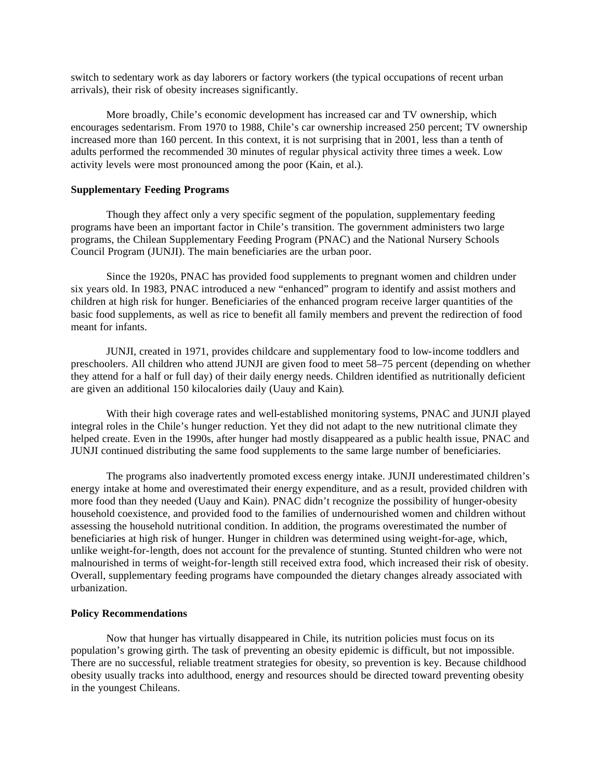switch to sedentary work as day laborers or factory workers (the typical occupations of recent urban arrivals), their risk of obesity increases significantly.

More broadly, Chile's economic development has increased car and TV ownership, which encourages sedentarism. From 1970 to 1988, Chile's car ownership increased 250 percent; TV ownership increased more than 160 percent. In this context, it is not surprising that in 2001, less than a tenth of adults performed the recommended 30 minutes of regular physical activity three times a week. Low activity levels were most pronounced among the poor (Kain, et al.).

### **Supplementary Feeding Programs**

Though they affect only a very specific segment of the population, supplementary feeding programs have been an important factor in Chile's transition. The government administers two large programs, the Chilean Supplementary Feeding Program (PNAC) and the National Nursery Schools Council Program (JUNJI). The main beneficiaries are the urban poor.

Since the 1920s, PNAC has provided food supplements to pregnant women and children under six years old. In 1983, PNAC introduced a new "enhanced" program to identify and assist mothers and children at high risk for hunger. Beneficiaries of the enhanced program receive larger quantities of the basic food supplements, as well as rice to benefit all family members and prevent the redirection of food meant for infants.

JUNJI, created in 1971, provides childcare and supplementary food to low-income toddlers and preschoolers. All children who attend JUNJI are given food to meet 58–75 percent (depending on whether they attend for a half or full day) of their daily energy needs. Children identified as nutritionally deficient are given an additional 150 kilocalories daily (Uauy and Kain).

With their high coverage rates and well-established monitoring systems, PNAC and JUNJI played integral roles in the Chile's hunger reduction. Yet they did not adapt to the new nutritional climate they helped create. Even in the 1990s, after hunger had mostly disappeared as a public health issue, PNAC and JUNJI continued distributing the same food supplements to the same large number of beneficiaries.

The programs also inadvertently promoted excess energy intake. JUNJI underestimated children's energy intake at home and overestimated their energy expenditure, and as a result, provided children with more food than they needed (Uauy and Kain). PNAC didn't recognize the possibility of hunger-obesity household coexistence, and provided food to the families of undernourished women and children without assessing the household nutritional condition. In addition, the programs overestimated the number of beneficiaries at high risk of hunger. Hunger in children was determined using weight-for-age, which, unlike weight-for-length, does not account for the prevalence of stunting. Stunted children who were not malnourished in terms of weight-for-length still received extra food, which increased their risk of obesity. Overall, supplementary feeding programs have compounded the dietary changes already associated with urbanization.

#### **Policy Recommendations**

Now that hunger has virtually disappeared in Chile, its nutrition policies must focus on its population's growing girth. The task of preventing an obesity epidemic is difficult, but not impossible. There are no successful, reliable treatment strategies for obesity, so prevention is key. Because childhood obesity usually tracks into adulthood, energy and resources should be directed toward preventing obesity in the youngest Chileans.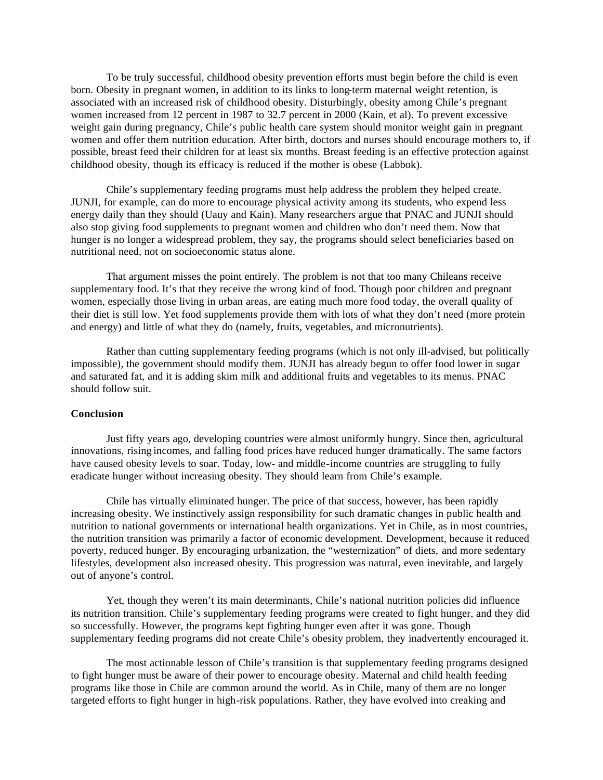To be truly successful, childhood obesity prevention efforts must begin before the child is even born. Obesity in pregnant women, in addition to its links to long-term maternal weight retention, is associated with an increased risk of childhood obesity. Disturbingly, obesity among Chile's pregnant women increased from 12 percent in 1987 to 32.7 percent in 2000 (Kain, et al). To prevent excessive weight gain during pregnancy, Chile's public health care system should monitor weight gain in pregnant women and offer them nutrition education. After birth, doctors and nurses should encourage mothers to, if possible, breast feed their children for at least six months. Breast feeding is an effective protection against childhood obesity, though its efficacy is reduced if the mother is obese (Labbok).

Chile's supplementary feeding programs must help address the problem they helped create. JUNJI, for example, can do more to encourage physical activity among its students, who expend less energy daily than they should (Uauy and Kain). Many researchers argue that PNAC and JUNJI should also stop giving food supplements to pregnant women and children who don't need them. Now that hunger is no longer a widespread problem, they say, the programs should select beneficiaries based on nutritional need, not on socioeconomic status alone.

That argument misses the point entirely. The problem is not that too many Chileans receive supplementary food. It's that they receive the wrong kind of food. Though poor children and pregnant women, especially those living in urban areas, are eating much more food today, the overall quality of their diet is still low. Yet food supplements provide them with lots of what they don't need (more protein and energy) and little of what they do (namely, fruits, vegetables, and micronutrients).

Rather than cutting supplementary feeding programs (which is not only ill-advised, but politically impossible), the government should modify them. JUNJI has already begun to offer food lower in sugar and saturated fat, and it is adding skim milk and additional fruits and vegetables to its menus. PNAC should follow suit.

# **Conclusion**

Just fifty years ago, developing countries were almost uniformly hungry. Since then, agricultural innovations, rising incomes, and falling food prices have reduced hunger dramatically. The same factors have caused obesity levels to soar. Today, low- and middle-income countries are struggling to fully eradicate hunger without increasing obesity. They should learn from Chile's example.

Chile has virtually eliminated hunger. The price of that success, however, has been rapidly increasing obesity. We instinctively assign responsibility for such dramatic changes in public health and nutrition to national governments or international health organizations. Yet in Chile, as in most countries, the nutrition transition was primarily a factor of economic development. Development, because it reduced poverty, reduced hunger. By encouraging urbanization, the "westernization" of diets, and more sedentary lifestyles, development also increased obesity. This progression was natural, even inevitable, and largely out of anyone's control.

Yet, though they weren't its main determinants, Chile's national nutrition policies did influence its nutrition transition. Chile's supplementary feeding programs were created to fight hunger, and they did so successfully. However, the programs kept fighting hunger even after it was gone. Though supplementary feeding programs did not create Chile's obesity problem, they inadvertently encouraged it.

The most actionable lesson of Chile's transition is that supplementary feeding programs designed to fight hunger must be aware of their power to encourage obesity. Maternal and child health feeding programs like those in Chile are common around the world. As in Chile, many of them are no longer targeted efforts to fight hunger in high-risk populations. Rather, they have evolved into creaking and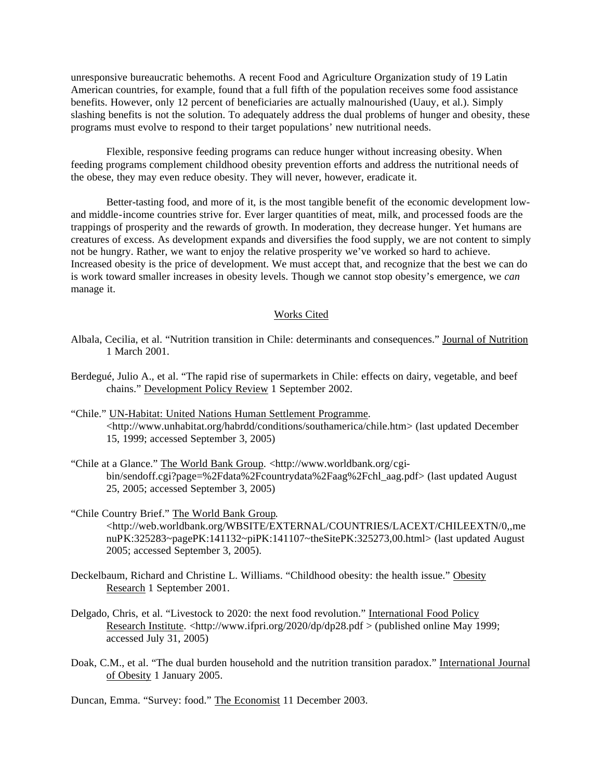unresponsive bureaucratic behemoths. A recent Food and Agriculture Organization study of 19 Latin American countries, for example, found that a full fifth of the population receives some food assistance benefits. However, only 12 percent of beneficiaries are actually malnourished (Uauy, et al.). Simply slashing benefits is not the solution. To adequately address the dual problems of hunger and obesity, these programs must evolve to respond to their target populations' new nutritional needs.

Flexible, responsive feeding programs can reduce hunger without increasing obesity. When feeding programs complement childhood obesity prevention efforts and address the nutritional needs of the obese, they may even reduce obesity. They will never, however, eradicate it.

Better-tasting food, and more of it, is the most tangible benefit of the economic development lowand middle-income countries strive for. Ever larger quantities of meat, milk, and processed foods are the trappings of prosperity and the rewards of growth. In moderation, they decrease hunger. Yet humans are creatures of excess. As development expands and diversifies the food supply, we are not content to simply not be hungry. Rather, we want to enjoy the relative prosperity we've worked so hard to achieve. Increased obesity is the price of development. We must accept that, and recognize that the best we can do is work toward smaller increases in obesity levels. Though we cannot stop obesity's emergence, we *can*  manage it.

### Works Cited

- Albala, Cecilia, et al. "Nutrition transition in Chile: determinants and consequences." Journal of Nutrition 1 March 2001.
- Berdegué, Julio A., et al. "The rapid rise of supermarkets in Chile: effects on dairy, vegetable, and beef chains." Development Policy Review 1 September 2002.
- "Chile." UN-Habitat: United Nations Human Settlement Programme. <http://www.unhabitat.org/habrdd/conditions/southamerica/chile.htm> (last updated December 15, 1999; accessed September 3, 2005)
- "Chile at a Glance." The World Bank Group. <http://www.worldbank.org/cgibin/sendoff.cgi?page=%2Fdata%2Fcountrydata%2Faag%2Fchl\_aag.pdf> (last updated August 25, 2005; accessed September 3, 2005)
- "Chile Country Brief." The World Bank Group. <http://web.worldbank.org/WBSITE/EXTERNAL/COUNTRIES/LACEXT/CHILEEXTN/0,,me nuPK:325283~pagePK:141132~piPK:141107~theSitePK:325273,00.html> (last updated August 2005; accessed September 3, 2005).
- Deckelbaum, Richard and Christine L. Williams. "Childhood obesity: the health issue." Obesity Research 1 September 2001.
- Delgado, Chris, et al. "Livestock to 2020: the next food revolution." International Food Policy Research Institute. <http://www.ifpri.org/2020/dp/dp28.pdf > (published online May 1999; accessed July 31, 2005)
- Doak, C.M., et al. "The dual burden household and the nutrition transition paradox." International Journal of Obesity 1 January 2005.

Duncan, Emma. "Survey: food." The Economist 11 December 2003.